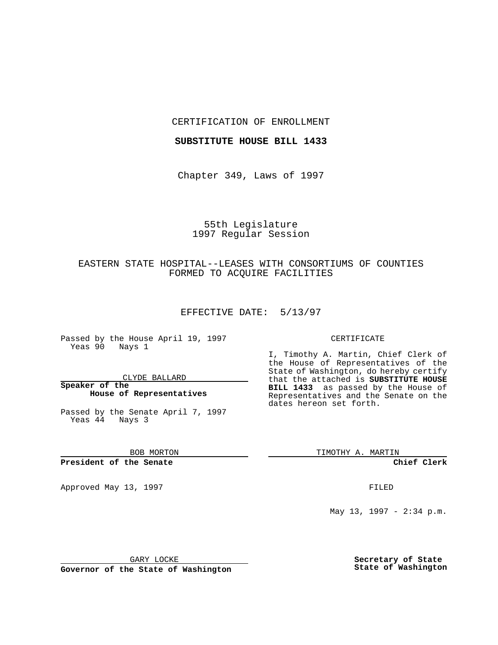#### CERTIFICATION OF ENROLLMENT

### **SUBSTITUTE HOUSE BILL 1433**

Chapter 349, Laws of 1997

# 55th Legislature 1997 Regular Session

## EASTERN STATE HOSPITAL--LEASES WITH CONSORTIUMS OF COUNTIES FORMED TO ACQUIRE FACILITIES

#### EFFECTIVE DATE: 5/13/97

Passed by the House April 19, 1997 Yeas 90 Nays 1

#### CLYDE BALLARD

#### **Speaker of the House of Representatives**

Passed by the Senate April 7, 1997 Yeas 44 Nays 3

BOB MORTON

**President of the Senate**

Approved May 13, 1997 **FILED** 

#### CERTIFICATE

I, Timothy A. Martin, Chief Clerk of the House of Representatives of the State of Washington, do hereby certify that the attached is **SUBSTITUTE HOUSE BILL 1433** as passed by the House of Representatives and the Senate on the dates hereon set forth.

TIMOTHY A. MARTIN

**Chief Clerk**

May 13, 1997 - 2:34 p.m.

GARY LOCKE

**Governor of the State of Washington**

**Secretary of State State of Washington**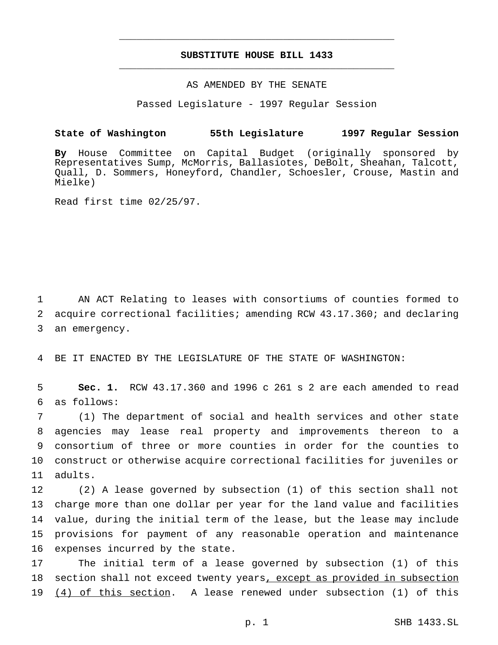## **SUBSTITUTE HOUSE BILL 1433** \_\_\_\_\_\_\_\_\_\_\_\_\_\_\_\_\_\_\_\_\_\_\_\_\_\_\_\_\_\_\_\_\_\_\_\_\_\_\_\_\_\_\_\_\_\_\_

\_\_\_\_\_\_\_\_\_\_\_\_\_\_\_\_\_\_\_\_\_\_\_\_\_\_\_\_\_\_\_\_\_\_\_\_\_\_\_\_\_\_\_\_\_\_\_

### AS AMENDED BY THE SENATE

Passed Legislature - 1997 Regular Session

## **State of Washington 55th Legislature 1997 Regular Session**

**By** House Committee on Capital Budget (originally sponsored by Representatives Sump, McMorris, Ballasiotes, DeBolt, Sheahan, Talcott, Quall, D. Sommers, Honeyford, Chandler, Schoesler, Crouse, Mastin and Mielke)

Read first time 02/25/97.

1 AN ACT Relating to leases with consortiums of counties formed to 2 acquire correctional facilities; amending RCW 43.17.360; and declaring 3 an emergency.

4 BE IT ENACTED BY THE LEGISLATURE OF THE STATE OF WASHINGTON:

5 **Sec. 1.** RCW 43.17.360 and 1996 c 261 s 2 are each amended to read 6 as follows:

 (1) The department of social and health services and other state agencies may lease real property and improvements thereon to a consortium of three or more counties in order for the counties to construct or otherwise acquire correctional facilities for juveniles or 11 adults.

 (2) A lease governed by subsection (1) of this section shall not charge more than one dollar per year for the land value and facilities value, during the initial term of the lease, but the lease may include provisions for payment of any reasonable operation and maintenance expenses incurred by the state.

17 The initial term of a lease governed by subsection (1) of this 18 section shall not exceed twenty years, except as provided in subsection 19 (4) of this section. A lease renewed under subsection (1) of this